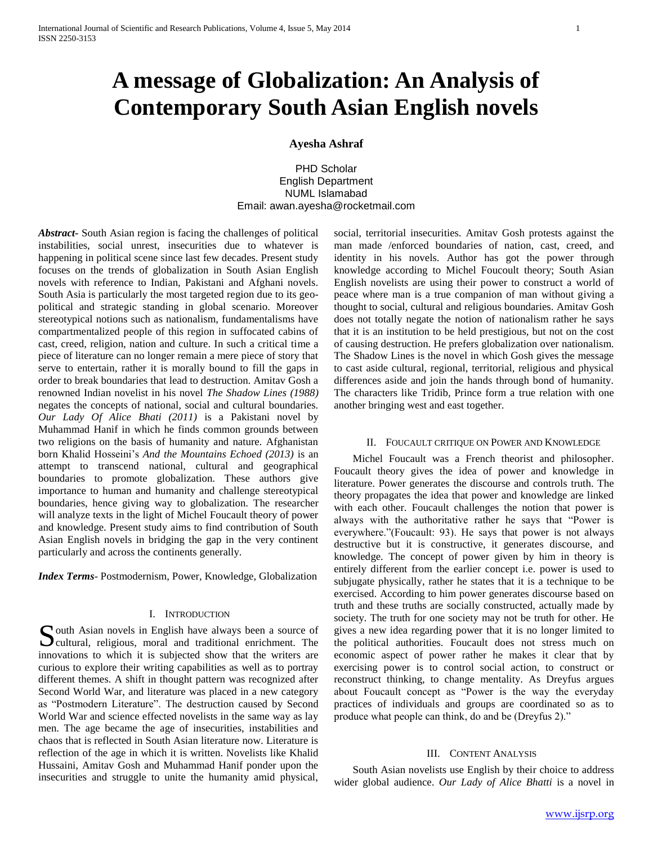# **A message of Globalization: An Analysis of Contemporary South Asian English novels**

**Ayesha Ashraf**

PHD Scholar English Department NUML Islamabad Email: awan.ayesha@rocketmail.com

*Abstract***-** South Asian region is facing the challenges of political instabilities, social unrest, insecurities due to whatever is happening in political scene since last few decades. Present study focuses on the trends of globalization in South Asian English novels with reference to Indian, Pakistani and Afghani novels. South Asia is particularly the most targeted region due to its geopolitical and strategic standing in global scenario. Moreover stereotypical notions such as nationalism, fundamentalisms have compartmentalized people of this region in suffocated cabins of cast, creed, religion, nation and culture. In such a critical time a piece of literature can no longer remain a mere piece of story that serve to entertain, rather it is morally bound to fill the gaps in order to break boundaries that lead to destruction. Amitav Gosh a renowned Indian novelist in his novel *The Shadow Lines (1988)* negates the concepts of national, social and cultural boundaries. *Our Lady Of Alice Bhati (2011)* is a Pakistani novel by Muhammad Hanif in which he finds common grounds between two religions on the basis of humanity and nature. Afghanistan born Khalid Hosseini's *And the Mountains Echoed (2013)* is an attempt to transcend national, cultural and geographical boundaries to promote globalization. These authors give importance to human and humanity and challenge stereotypical boundaries, hence giving way to globalization. The researcher will analyze texts in the light of Michel Foucault theory of power and knowledge. Present study aims to find contribution of South Asian English novels in bridging the gap in the very continent particularly and across the continents generally.

*Index Terms*- Postmodernism, Power, Knowledge, Globalization

# I. INTRODUCTION

South Asian novels in English have always been a source of cultural, religious, moral and traditional enrichment. The cultural, religious, moral and traditional enrichment. The innovations to which it is subjected show that the writers are curious to explore their writing capabilities as well as to portray different themes. A shift in thought pattern was recognized after Second World War, and literature was placed in a new category as "Postmodern Literature". The destruction caused by Second World War and science effected novelists in the same way as lay men. The age became the age of insecurities, instabilities and chaos that is reflected in South Asian literature now. Literature is reflection of the age in which it is written. Novelists like Khalid Hussaini, Amitav Gosh and Muhammad Hanif ponder upon the insecurities and struggle to unite the humanity amid physical,

social, territorial insecurities. Amitav Gosh protests against the man made /enforced boundaries of nation, cast, creed, and identity in his novels. Author has got the power through knowledge according to Michel Foucoult theory; South Asian English novelists are using their power to construct a world of peace where man is a true companion of man without giving a thought to social, cultural and religious boundaries. Amitav Gosh does not totally negate the notion of nationalism rather he says that it is an institution to be held prestigious, but not on the cost of causing destruction. He prefers globalization over nationalism. The Shadow Lines is the novel in which Gosh gives the message to cast aside cultural, regional, territorial, religious and physical differences aside and join the hands through bond of humanity. The characters like Tridib, Prince form a true relation with one another bringing west and east together.

## II. FOUCAULT CRITIQUE ON POWER AND KNOWLEDGE

 Michel Foucault was a French theorist and philosopher. Foucault theory gives the idea of power and knowledge in literature. Power generates the discourse and controls truth. The theory propagates the idea that power and knowledge are linked with each other. Foucault challenges the notion that power is always with the authoritative rather he says that "Power is everywhere."(Foucault: 93). He says that power is not always destructive but it is constructive, it generates discourse, and knowledge. The concept of power given by him in theory is entirely different from the earlier concept i.e. power is used to subjugate physically, rather he states that it is a technique to be exercised. According to him power generates discourse based on truth and these truths are socially constructed, actually made by society. The truth for one society may not be truth for other. He gives a new idea regarding power that it is no longer limited to the political authorities. Foucault does not stress much on economic aspect of power rather he makes it clear that by exercising power is to control social action, to construct or reconstruct thinking, to change mentality. As Dreyfus argues about Foucault concept as "Power is the way the everyday practices of individuals and groups are coordinated so as to produce what people can think, do and be (Dreyfus 2)."

#### III. CONTENT ANALYSIS

 South Asian novelists use English by their choice to address wider global audience. *Our Lady of Alice Bhatti* is a novel in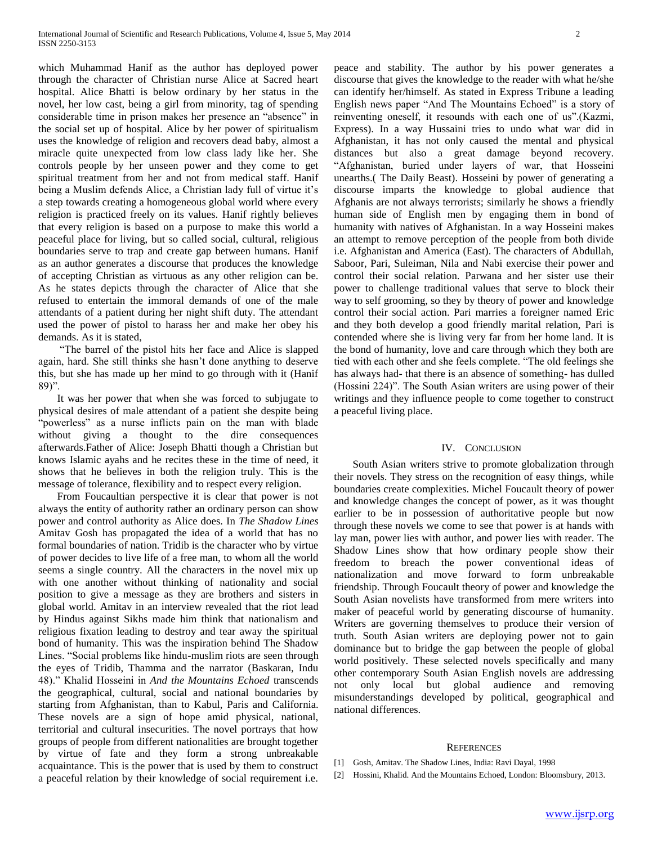which Muhammad Hanif as the author has deployed power through the character of Christian nurse Alice at Sacred heart hospital. Alice Bhatti is below ordinary by her status in the novel, her low cast, being a girl from minority, tag of spending considerable time in prison makes her presence an "absence" in the social set up of hospital. Alice by her power of spiritualism uses the knowledge of religion and recovers dead baby, almost a miracle quite unexpected from low class lady like her. She controls people by her unseen power and they come to get spiritual treatment from her and not from medical staff. Hanif being a Muslim defends Alice, a Christian lady full of virtue it's a step towards creating a homogeneous global world where every religion is practiced freely on its values. Hanif rightly believes that every religion is based on a purpose to make this world a peaceful place for living, but so called social, cultural, religious boundaries serve to trap and create gap between humans. Hanif as an author generates a discourse that produces the knowledge of accepting Christian as virtuous as any other religion can be. As he states depicts through the character of Alice that she refused to entertain the immoral demands of one of the male attendants of a patient during her night shift duty. The attendant used the power of pistol to harass her and make her obey his demands. As it is stated,

 "The barrel of the pistol hits her face and Alice is slapped again, hard. She still thinks she hasn't done anything to deserve this, but she has made up her mind to go through with it (Hanif 89)".

 It was her power that when she was forced to subjugate to physical desires of male attendant of a patient she despite being "powerless" as a nurse inflicts pain on the man with blade without giving a thought to the dire consequences afterwards.Father of Alice: Joseph Bhatti though a Christian but knows Islamic ayahs and he recites these in the time of need, it shows that he believes in both the religion truly. This is the message of tolerance, flexibility and to respect every religion.

 From Foucaultian perspective it is clear that power is not always the entity of authority rather an ordinary person can show power and control authority as Alice does. In *The Shadow Lines* Amitav Gosh has propagated the idea of a world that has no formal boundaries of nation. Tridib is the character who by virtue of power decides to live life of a free man, to whom all the world seems a single country. All the characters in the novel mix up with one another without thinking of nationality and social position to give a message as they are brothers and sisters in global world. Amitav in an interview revealed that the riot lead by Hindus against Sikhs made him think that nationalism and religious fixation leading to destroy and tear away the spiritual bond of humanity. This was the inspiration behind The Shadow Lines. "Social problems like hindu-muslim riots are seen through the eyes of Tridib, Thamma and the narrator (Baskaran, Indu 48)." Khalid Hosseini in *And the Mountains Echoed* transcends the geographical, cultural, social and national boundaries by starting from Afghanistan, than to Kabul, Paris and California. These novels are a sign of hope amid physical, national, territorial and cultural insecurities. The novel portrays that how groups of people from different nationalities are brought together by virtue of fate and they form a strong unbreakable acquaintance. This is the power that is used by them to construct a peaceful relation by their knowledge of social requirement i.e.

peace and stability. The author by his power generates a discourse that gives the knowledge to the reader with what he/she can identify her/himself. As stated in Express Tribune a leading English news paper "And The Mountains Echoed" is a story of reinventing oneself, it resounds with each one of us".(Kazmi, Express). In a way Hussaini tries to undo what war did in Afghanistan, it has not only caused the mental and physical distances but also a great damage beyond recovery. "Afghanistan, buried under layers of war, that Hosseini unearths.( The Daily Beast). Hosseini by power of generating a discourse imparts the knowledge to global audience that Afghanis are not always terrorists; similarly he shows a friendly human side of English men by engaging them in bond of humanity with natives of Afghanistan. In a way Hosseini makes an attempt to remove perception of the people from both divide i.e. Afghanistan and America (East). The characters of Abdullah, Saboor, Pari, Suleiman, Nila and Nabi exercise their power and control their social relation. Parwana and her sister use their power to challenge traditional values that serve to block their way to self grooming, so they by theory of power and knowledge control their social action. Pari marries a foreigner named Eric and they both develop a good friendly marital relation, Pari is contended where she is living very far from her home land. It is the bond of humanity, love and care through which they both are tied with each other and she feels complete. "The old feelings she has always had- that there is an absence of something- has dulled (Hossini 224)". The South Asian writers are using power of their writings and they influence people to come together to construct a peaceful living place.

## IV. CONCLUSION

 South Asian writers strive to promote globalization through their novels. They stress on the recognition of easy things, while boundaries create complexities. Michel Foucault theory of power and knowledge changes the concept of power, as it was thought earlier to be in possession of authoritative people but now through these novels we come to see that power is at hands with lay man, power lies with author, and power lies with reader. The Shadow Lines show that how ordinary people show their freedom to breach the power conventional ideas of nationalization and move forward to form unbreakable friendship. Through Foucault theory of power and knowledge the South Asian novelists have transformed from mere writers into maker of peaceful world by generating discourse of humanity. Writers are governing themselves to produce their version of truth. South Asian writers are deploying power not to gain dominance but to bridge the gap between the people of global world positively. These selected novels specifically and many other contemporary South Asian English novels are addressing not only local but global audience and removing misunderstandings developed by political, geographical and national differences.

#### **REFERENCES**

- [1] Gosh, Amitav. The Shadow Lines, India: Ravi Dayal, 1998
- [2] Hossini, Khalid. And the Mountains Echoed, London: Bloomsbury, 2013.